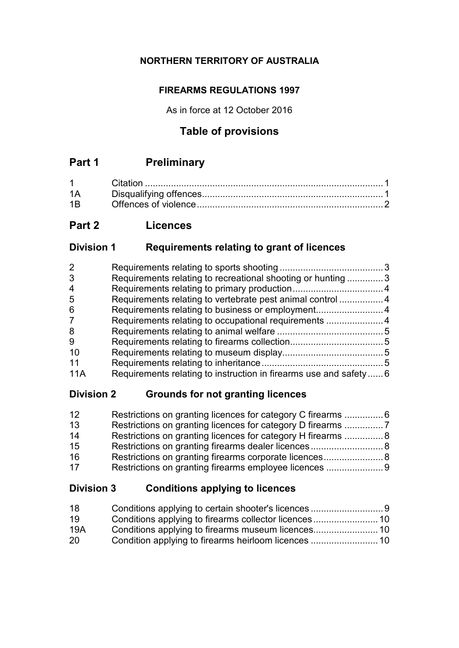### **NORTHERN TERRITORY OF AUSTRALIA**

### **FIREARMS REGULATIONS 1997**

As in force at 12 October 2016

### **Table of provisions**

## **Part 1 Preliminary**

| $1 \quad \Box$ |  |
|----------------|--|
| 1Α             |  |
| 1B             |  |

### **Part 2 Licences**

### **Division 1 Requirements relating to grant of licences**

| $\overline{2}$ |                                                                  |  |
|----------------|------------------------------------------------------------------|--|
| 3              | Requirements relating to recreational shooting or hunting 3      |  |
| 4              |                                                                  |  |
| 5              | Requirements relating to vertebrate pest animal control 4        |  |
| 6              | Requirements relating to business or employment4                 |  |
| 7              | Requirements relating to occupational requirements 4             |  |
| 8              |                                                                  |  |
| 9              |                                                                  |  |
| 10             |                                                                  |  |
| 11             |                                                                  |  |
| 11A            | Requirements relating to instruction in firearms use and safety6 |  |

### **Division 2 Grounds for not granting licences**

| 12 | Restrictions on granting licences for category C firearms 6  |  |
|----|--------------------------------------------------------------|--|
| 13 |                                                              |  |
| 14 | Restrictions on granting licences for category H firearms  8 |  |
| 15 |                                                              |  |
| 16 | Restrictions on granting firearms corporate licences 8       |  |
| 17 |                                                              |  |

### **Division 3 Conditions applying to licences**

| 18  |  |
|-----|--|
| 19  |  |
| 19A |  |
| 20  |  |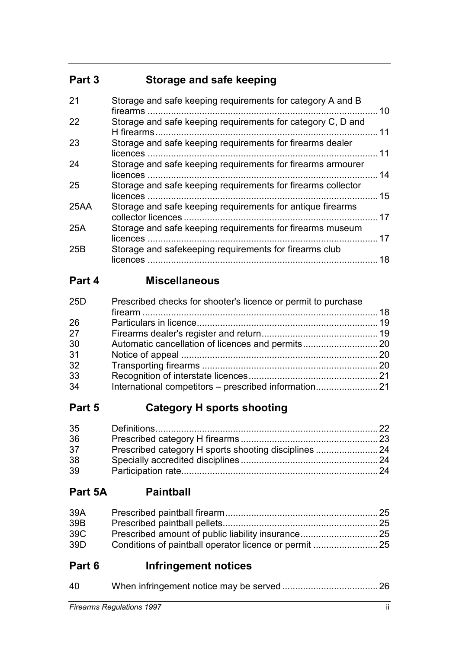## **Part 3 Storage and safe keeping**

| 21   | Storage and safe keeping requirements for category A and B                       | 10 |
|------|----------------------------------------------------------------------------------|----|
| 22   | Storage and safe keeping requirements for category C, D and<br>H firearms        | 11 |
| 23   | Storage and safe keeping requirements for firearms dealer<br>licences            | 11 |
| 24   | Storage and safe keeping requirements for firearms armourer                      | 14 |
| 25   | Storage and safe keeping requirements for firearms collector<br>licences         | 15 |
| 25AA | Storage and safe keeping requirements for antique firearms<br>collector licences | 17 |
| 25A  | Storage and safe keeping requirements for firearms museum                        | 17 |
| 25B  | Storage and safekeeping requirements for firearms club<br>$licences$             | 18 |

# **Part 4 Miscellaneous**

| 25 <sub>D</sub> | Prescribed checks for shooter's licence or permit to purchase |  |
|-----------------|---------------------------------------------------------------|--|
|                 |                                                               |  |
| 26              |                                                               |  |
| 27              |                                                               |  |
| 30              |                                                               |  |
| 31              |                                                               |  |
| 32              |                                                               |  |
| 33              |                                                               |  |
| 34              |                                                               |  |

# **Part 5 Category H sports shooting**

| 35 |  |
|----|--|
| 36 |  |
| 37 |  |
| 38 |  |
| 39 |  |

### **Part 5A Paintball**

| 39A |  |
|-----|--|
| 39B |  |
| 39C |  |
| 39D |  |

## **Part 6 Infringement notices**

| 40 |  |
|----|--|
|    |  |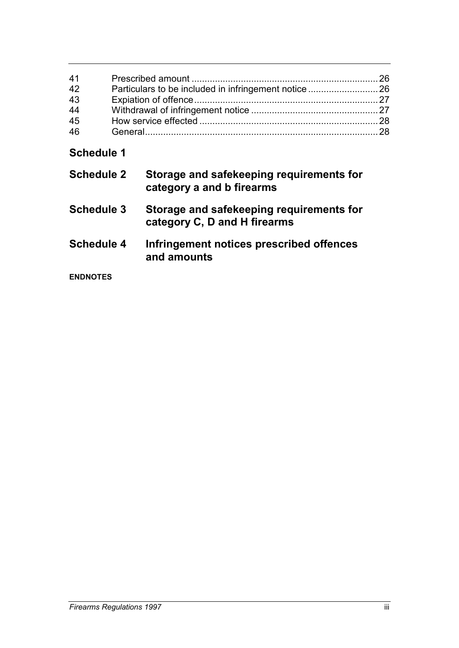| 41 |                                                       |  |
|----|-------------------------------------------------------|--|
| 42 | Particulars to be included in infringement notice  26 |  |
| 43 |                                                       |  |
| 44 |                                                       |  |
| 45 |                                                       |  |
| 46 |                                                       |  |

# **Schedule 1**

| <b>Schedule 2</b> | Storage and safekeeping requirements for<br>category a and b firearms    |
|-------------------|--------------------------------------------------------------------------|
| <b>Schedule 3</b> | Storage and safekeeping requirements for<br>category C, D and H firearms |
| Schedule 4        | Infringement notices prescribed offences<br>and amounts                  |
| <b>ENDNOTES</b>   |                                                                          |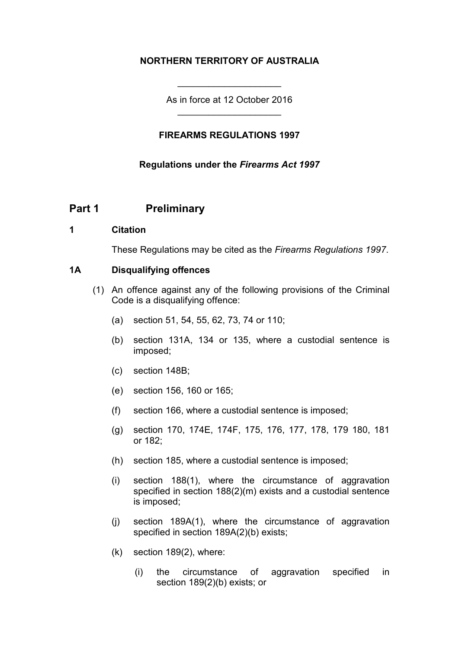#### **NORTHERN TERRITORY OF AUSTRALIA**

As in force at 12 October 2016 \_\_\_\_\_\_\_\_\_\_\_\_\_\_\_\_\_\_\_\_

\_\_\_\_\_\_\_\_\_\_\_\_\_\_\_\_\_\_\_\_

#### **FIREARMS REGULATIONS 1997**

#### **Regulations under the** *Firearms Act 1997*

#### **Part 1 Preliminary**

#### **1 Citation**

These Regulations may be cited as the *Firearms Regulations 1997*.

#### **1A Disqualifying offences**

- (1) An offence against any of the following provisions of the Criminal Code is a disqualifying offence:
	- (a) section 51, 54, 55, 62, 73, 74 or 110;
	- (b) section 131A, 134 or 135, where a custodial sentence is imposed;
	- (c) section 148B;
	- (e) section 156, 160 or 165;
	- (f) section 166, where a custodial sentence is imposed;
	- (g) section 170, 174E, 174F, 175, 176, 177, 178, 179 180, 181 or 182;
	- (h) section 185, where a custodial sentence is imposed;
	- (i) section 188(1), where the circumstance of aggravation specified in section 188(2)(m) exists and a custodial sentence is imposed;
	- (j) section 189A(1), where the circumstance of aggravation specified in section 189A(2)(b) exists;
	- (k) section 189(2), where:
		- (i) the circumstance of aggravation specified in section 189(2)(b) exists; or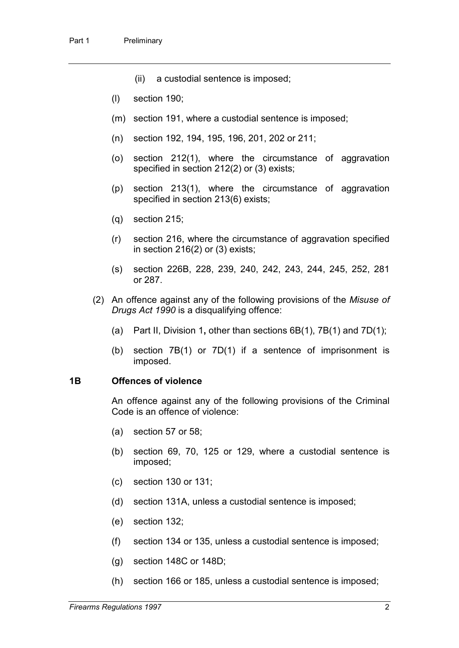- (ii) a custodial sentence is imposed;
- (l) section 190;
- (m) section 191, where a custodial sentence is imposed;
- (n) section 192, 194, 195, 196, 201, 202 or 211;
- (o) section 212(1), where the circumstance of aggravation specified in section 212(2) or (3) exists;
- (p) section 213(1), where the circumstance of aggravation specified in section 213(6) exists;
- (q) section 215;
- (r) section 216, where the circumstance of aggravation specified in section 216(2) or (3) exists;
- (s) section 226B, 228, 239, 240, 242, 243, 244, 245, 252, 281 or 287.
- (2) An offence against any of the following provisions of the *Misuse of Drugs Act 1990* is a disqualifying offence:
	- (a) Part II, Division 1**,** other than sections 6B(1), 7B(1) and 7D(1);
	- (b) section 7B(1) or 7D(1) if a sentence of imprisonment is imposed.

#### **1B Offences of violence**

An offence against any of the following provisions of the Criminal Code is an offence of violence:

- (a) section 57 or 58;
- (b) section 69, 70, 125 or 129, where a custodial sentence is imposed;
- (c) section 130 or 131;
- (d) section 131A, unless a custodial sentence is imposed;
- (e) section 132;
- (f) section 134 or 135, unless a custodial sentence is imposed;
- (g) section 148C or 148D;
- (h) section 166 or 185, unless a custodial sentence is imposed;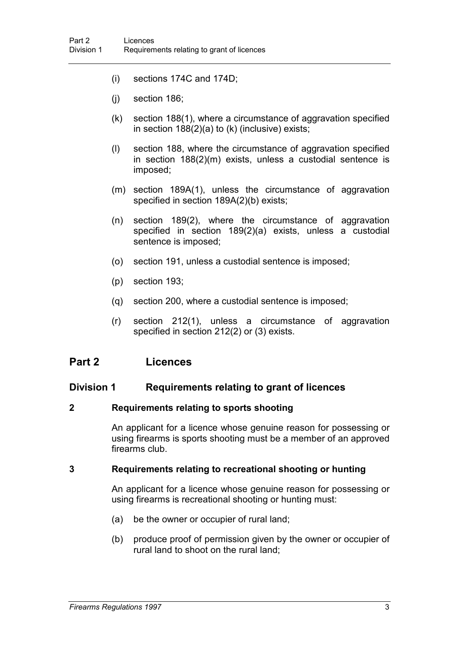- (i) sections 174C and 174D;
- (j) section 186;
- (k) section 188(1), where a circumstance of aggravation specified in section 188(2)(a) to (k) (inclusive) exists;
- (l) section 188, where the circumstance of aggravation specified in section 188(2)(m) exists, unless a custodial sentence is imposed;
- (m) section 189A(1), unless the circumstance of aggravation specified in section 189A(2)(b) exists;
- (n) section 189(2), where the circumstance of aggravation specified in section 189(2)(a) exists, unless a custodial sentence is imposed;
- (o) section 191, unless a custodial sentence is imposed;
- (p) section 193;
- (q) section 200, where a custodial sentence is imposed;
- (r) section 212(1), unless a circumstance of aggravation specified in section 212(2) or (3) exists.

#### **Part 2 Licences**

#### **Division 1 Requirements relating to grant of licences**

#### **2 Requirements relating to sports shooting**

An applicant for a licence whose genuine reason for possessing or using firearms is sports shooting must be a member of an approved firearms club.

#### **3 Requirements relating to recreational shooting or hunting**

An applicant for a licence whose genuine reason for possessing or using firearms is recreational shooting or hunting must:

- (a) be the owner or occupier of rural land;
- (b) produce proof of permission given by the owner or occupier of rural land to shoot on the rural land;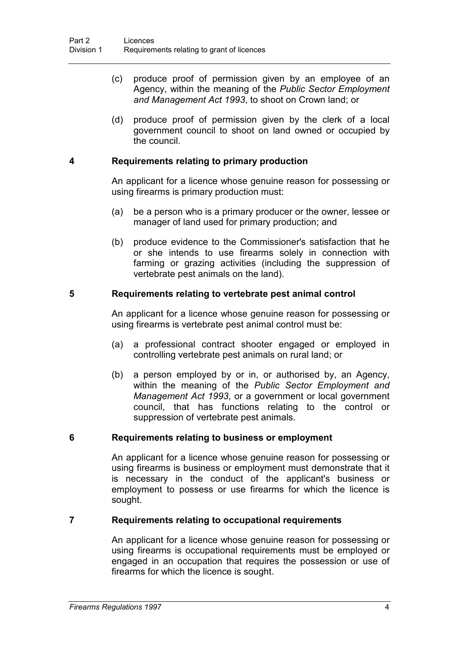- (c) produce proof of permission given by an employee of an Agency, within the meaning of the *Public Sector Employment and Management Act 1993*, to shoot on Crown land; or
- (d) produce proof of permission given by the clerk of a local government council to shoot on land owned or occupied by the council.

#### **4 Requirements relating to primary production**

An applicant for a licence whose genuine reason for possessing or using firearms is primary production must:

- (a) be a person who is a primary producer or the owner, lessee or manager of land used for primary production; and
- (b) produce evidence to the Commissioner's satisfaction that he or she intends to use firearms solely in connection with farming or grazing activities (including the suppression of vertebrate pest animals on the land).

#### **5 Requirements relating to vertebrate pest animal control**

An applicant for a licence whose genuine reason for possessing or using firearms is vertebrate pest animal control must be:

- (a) a professional contract shooter engaged or employed in controlling vertebrate pest animals on rural land; or
- (b) a person employed by or in, or authorised by, an Agency, within the meaning of the *Public Sector Employment and Management Act 1993*, or a government or local government council, that has functions relating to the control or suppression of vertebrate pest animals.

#### **6 Requirements relating to business or employment**

An applicant for a licence whose genuine reason for possessing or using firearms is business or employment must demonstrate that it is necessary in the conduct of the applicant's business or employment to possess or use firearms for which the licence is sought.

#### **7 Requirements relating to occupational requirements**

An applicant for a licence whose genuine reason for possessing or using firearms is occupational requirements must be employed or engaged in an occupation that requires the possession or use of firearms for which the licence is sought.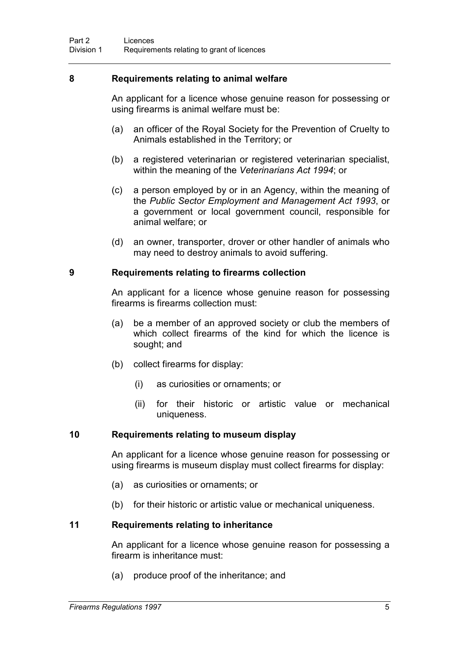#### **8 Requirements relating to animal welfare**

An applicant for a licence whose genuine reason for possessing or using firearms is animal welfare must be:

- (a) an officer of the Royal Society for the Prevention of Cruelty to Animals established in the Territory; or
- (b) a registered veterinarian or registered veterinarian specialist, within the meaning of the *Veterinarians Act 1994*; or
- (c) a person employed by or in an Agency, within the meaning of the *Public Sector Employment and Management Act 1993*, or a government or local government council, responsible for animal welfare; or
- (d) an owner, transporter, drover or other handler of animals who may need to destroy animals to avoid suffering.

#### **9 Requirements relating to firearms collection**

An applicant for a licence whose genuine reason for possessing firearms is firearms collection must:

- (a) be a member of an approved society or club the members of which collect firearms of the kind for which the licence is sought; and
- (b) collect firearms for display:
	- (i) as curiosities or ornaments; or
	- (ii) for their historic or artistic value or mechanical uniqueness.

#### **10 Requirements relating to museum display**

An applicant for a licence whose genuine reason for possessing or using firearms is museum display must collect firearms for display:

- (a) as curiosities or ornaments; or
- (b) for their historic or artistic value or mechanical uniqueness.

#### **11 Requirements relating to inheritance**

An applicant for a licence whose genuine reason for possessing a firearm is inheritance must:

(a) produce proof of the inheritance; and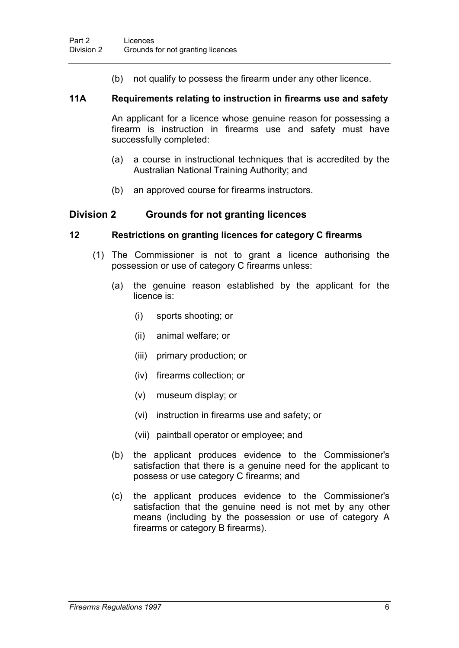(b) not qualify to possess the firearm under any other licence.

#### **11A Requirements relating to instruction in firearms use and safety**

An applicant for a licence whose genuine reason for possessing a firearm is instruction in firearms use and safety must have successfully completed:

- (a) a course in instructional techniques that is accredited by the Australian National Training Authority; and
- (b) an approved course for firearms instructors.

#### **Division 2 Grounds for not granting licences**

#### **12 Restrictions on granting licences for category C firearms**

- (1) The Commissioner is not to grant a licence authorising the possession or use of category C firearms unless:
	- (a) the genuine reason established by the applicant for the licence is:
		- (i) sports shooting; or
		- (ii) animal welfare; or
		- (iii) primary production; or
		- (iv) firearms collection; or
		- (v) museum display; or
		- (vi) instruction in firearms use and safety; or
		- (vii) paintball operator or employee; and
	- (b) the applicant produces evidence to the Commissioner's satisfaction that there is a genuine need for the applicant to possess or use category C firearms; and
	- (c) the applicant produces evidence to the Commissioner's satisfaction that the genuine need is not met by any other means (including by the possession or use of category A firearms or category B firearms).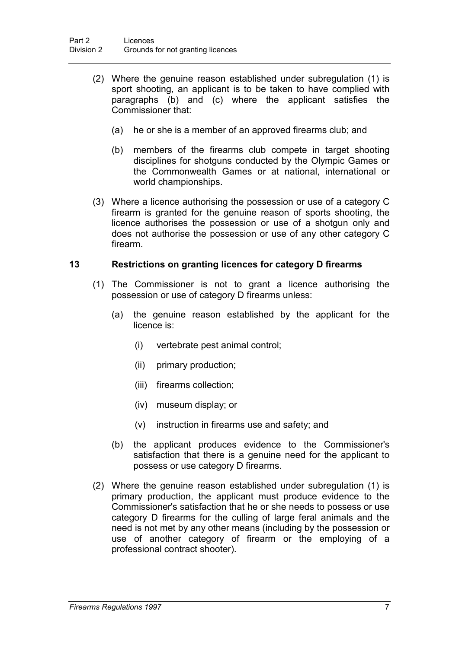- (2) Where the genuine reason established under subregulation (1) is sport shooting, an applicant is to be taken to have complied with paragraphs (b) and (c) where the applicant satisfies the Commissioner that:
	- (a) he or she is a member of an approved firearms club; and
	- (b) members of the firearms club compete in target shooting disciplines for shotguns conducted by the Olympic Games or the Commonwealth Games or at national, international or world championships.
- (3) Where a licence authorising the possession or use of a category C firearm is granted for the genuine reason of sports shooting, the licence authorises the possession or use of a shotgun only and does not authorise the possession or use of any other category C firearm.

#### **13 Restrictions on granting licences for category D firearms**

- (1) The Commissioner is not to grant a licence authorising the possession or use of category D firearms unless:
	- (a) the genuine reason established by the applicant for the licence is:
		- (i) vertebrate pest animal control;
		- (ii) primary production;
		- (iii) firearms collection;
		- (iv) museum display; or
		- (v) instruction in firearms use and safety; and
	- (b) the applicant produces evidence to the Commissioner's satisfaction that there is a genuine need for the applicant to possess or use category D firearms.
- (2) Where the genuine reason established under subregulation (1) is primary production, the applicant must produce evidence to the Commissioner's satisfaction that he or she needs to possess or use category D firearms for the culling of large feral animals and the need is not met by any other means (including by the possession or use of another category of firearm or the employing of a professional contract shooter).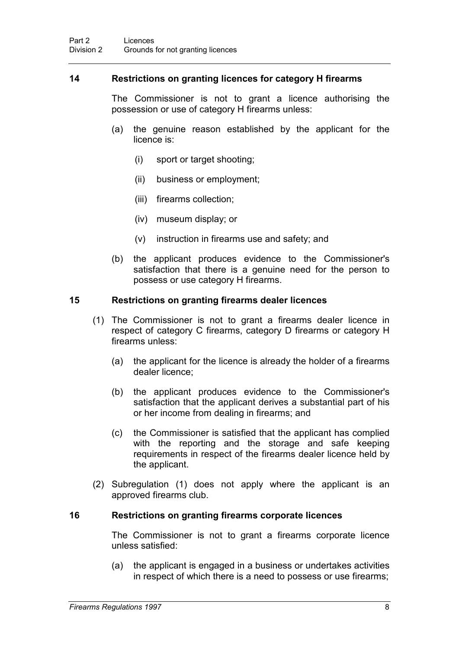#### **14 Restrictions on granting licences for category H firearms**

The Commissioner is not to grant a licence authorising the possession or use of category H firearms unless:

- (a) the genuine reason established by the applicant for the licence is:
	- (i) sport or target shooting;
	- (ii) business or employment;
	- (iii) firearms collection;
	- (iv) museum display; or
	- (v) instruction in firearms use and safety; and
- (b) the applicant produces evidence to the Commissioner's satisfaction that there is a genuine need for the person to possess or use category H firearms.

#### **15 Restrictions on granting firearms dealer licences**

- (1) The Commissioner is not to grant a firearms dealer licence in respect of category C firearms, category D firearms or category H firearms unless:
	- (a) the applicant for the licence is already the holder of a firearms dealer licence;
	- (b) the applicant produces evidence to the Commissioner's satisfaction that the applicant derives a substantial part of his or her income from dealing in firearms; and
	- (c) the Commissioner is satisfied that the applicant has complied with the reporting and the storage and safe keeping requirements in respect of the firearms dealer licence held by the applicant.
- (2) Subregulation (1) does not apply where the applicant is an approved firearms club.

#### **16 Restrictions on granting firearms corporate licences**

The Commissioner is not to grant a firearms corporate licence unless satisfied:

(a) the applicant is engaged in a business or undertakes activities in respect of which there is a need to possess or use firearms;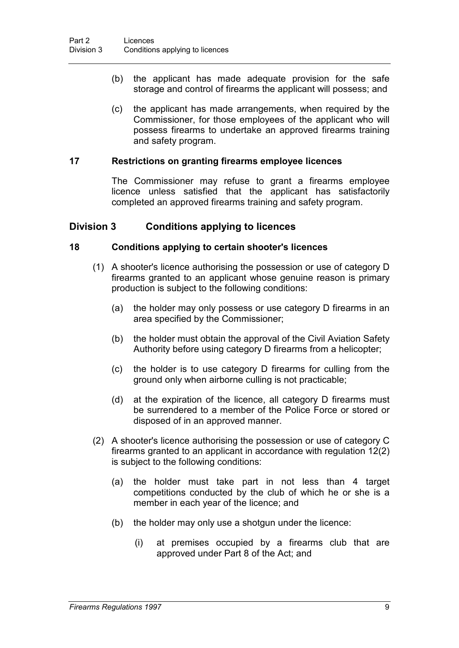- (b) the applicant has made adequate provision for the safe storage and control of firearms the applicant will possess; and
- (c) the applicant has made arrangements, when required by the Commissioner, for those employees of the applicant who will possess firearms to undertake an approved firearms training and safety program.

#### **17 Restrictions on granting firearms employee licences**

The Commissioner may refuse to grant a firearms employee licence unless satisfied that the applicant has satisfactorily completed an approved firearms training and safety program.

#### **Division 3 Conditions applying to licences**

#### **18 Conditions applying to certain shooter's licences**

- (1) A shooter's licence authorising the possession or use of category D firearms granted to an applicant whose genuine reason is primary production is subject to the following conditions:
	- (a) the holder may only possess or use category D firearms in an area specified by the Commissioner;
	- (b) the holder must obtain the approval of the Civil Aviation Safety Authority before using category D firearms from a helicopter;
	- (c) the holder is to use category D firearms for culling from the ground only when airborne culling is not practicable;
	- (d) at the expiration of the licence, all category D firearms must be surrendered to a member of the Police Force or stored or disposed of in an approved manner.
- (2) A shooter's licence authorising the possession or use of category C firearms granted to an applicant in accordance with regulation 12(2) is subject to the following conditions:
	- (a) the holder must take part in not less than 4 target competitions conducted by the club of which he or she is a member in each year of the licence; and
	- (b) the holder may only use a shotgun under the licence:
		- (i) at premises occupied by a firearms club that are approved under Part 8 of the Act; and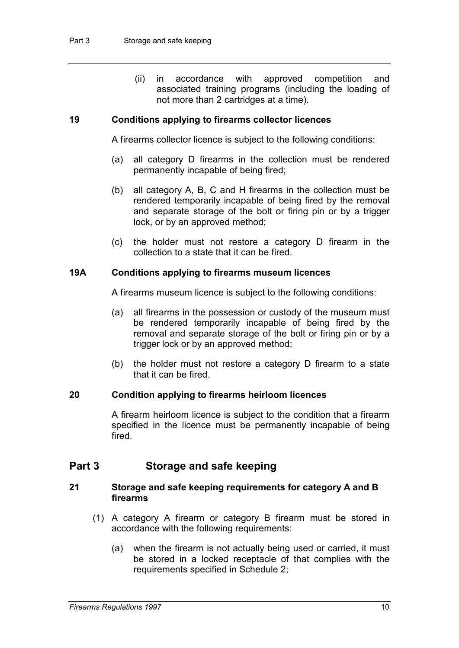(ii) in accordance with approved competition and associated training programs (including the loading of not more than 2 cartridges at a time).

#### **19 Conditions applying to firearms collector licences**

A firearms collector licence is subject to the following conditions:

- (a) all category D firearms in the collection must be rendered permanently incapable of being fired;
- (b) all category A, B, C and H firearms in the collection must be rendered temporarily incapable of being fired by the removal and separate storage of the bolt or firing pin or by a trigger lock, or by an approved method;
- (c) the holder must not restore a category D firearm in the collection to a state that it can be fired.

#### **19A Conditions applying to firearms museum licences**

A firearms museum licence is subject to the following conditions:

- (a) all firearms in the possession or custody of the museum must be rendered temporarily incapable of being fired by the removal and separate storage of the bolt or firing pin or by a trigger lock or by an approved method;
- (b) the holder must not restore a category D firearm to a state that it can be fired.

#### **20 Condition applying to firearms heirloom licences**

A firearm heirloom licence is subject to the condition that a firearm specified in the licence must be permanently incapable of being fired.

#### **Part 3 Storage and safe keeping**

#### **21 Storage and safe keeping requirements for category A and B firearms**

- (1) A category A firearm or category B firearm must be stored in accordance with the following requirements:
	- (a) when the firearm is not actually being used or carried, it must be stored in a locked receptacle of that complies with the requirements specified in Schedule 2;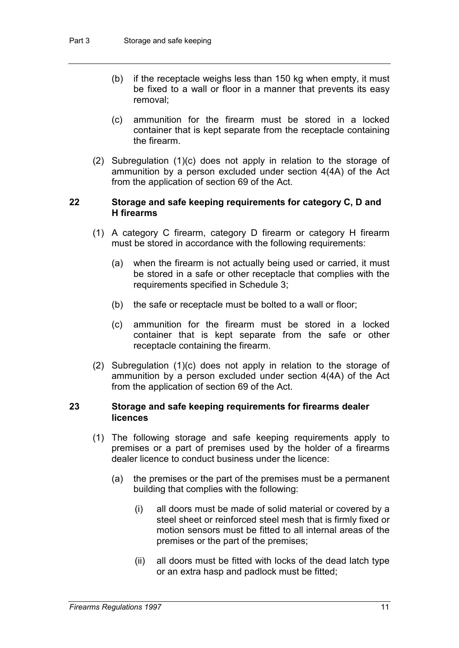- (b) if the receptacle weighs less than 150 kg when empty, it must be fixed to a wall or floor in a manner that prevents its easy removal;
- (c) ammunition for the firearm must be stored in a locked container that is kept separate from the receptacle containing the firearm.
- (2) Subregulation (1)(c) does not apply in relation to the storage of ammunition by a person excluded under section 4(4A) of the Act from the application of section 69 of the Act.

#### **22 Storage and safe keeping requirements for category C, D and H firearms**

- (1) A category C firearm, category D firearm or category H firearm must be stored in accordance with the following requirements:
	- (a) when the firearm is not actually being used or carried, it must be stored in a safe or other receptacle that complies with the requirements specified in Schedule 3;
	- (b) the safe or receptacle must be bolted to a wall or floor;
	- (c) ammunition for the firearm must be stored in a locked container that is kept separate from the safe or other receptacle containing the firearm.
- (2) Subregulation (1)(c) does not apply in relation to the storage of ammunition by a person excluded under section 4(4A) of the Act from the application of section 69 of the Act.

#### **23 Storage and safe keeping requirements for firearms dealer licences**

- (1) The following storage and safe keeping requirements apply to premises or a part of premises used by the holder of a firearms dealer licence to conduct business under the licence:
	- (a) the premises or the part of the premises must be a permanent building that complies with the following:
		- (i) all doors must be made of solid material or covered by a steel sheet or reinforced steel mesh that is firmly fixed or motion sensors must be fitted to all internal areas of the premises or the part of the premises;
		- (ii) all doors must be fitted with locks of the dead latch type or an extra hasp and padlock must be fitted;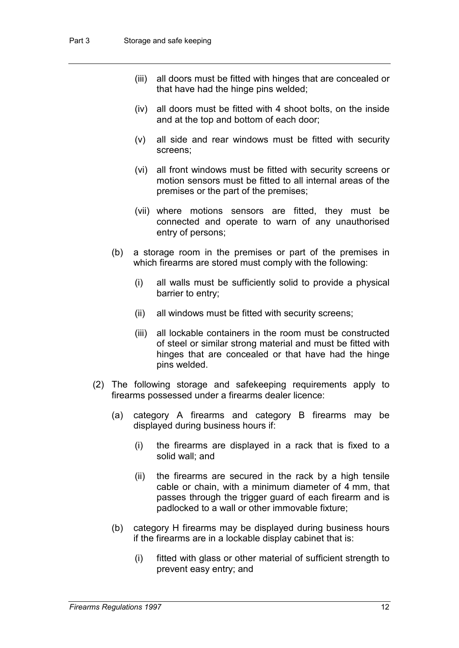- (iii) all doors must be fitted with hinges that are concealed or that have had the hinge pins welded;
- (iv) all doors must be fitted with 4 shoot bolts, on the inside and at the top and bottom of each door;
- (v) all side and rear windows must be fitted with security screens;
- (vi) all front windows must be fitted with security screens or motion sensors must be fitted to all internal areas of the premises or the part of the premises;
- (vii) where motions sensors are fitted, they must be connected and operate to warn of any unauthorised entry of persons;
- (b) a storage room in the premises or part of the premises in which firearms are stored must comply with the following:
	- (i) all walls must be sufficiently solid to provide a physical barrier to entry;
	- (ii) all windows must be fitted with security screens;
	- (iii) all lockable containers in the room must be constructed of steel or similar strong material and must be fitted with hinges that are concealed or that have had the hinge pins welded.
- (2) The following storage and safekeeping requirements apply to firearms possessed under a firearms dealer licence:
	- (a) category A firearms and category B firearms may be displayed during business hours if:
		- (i) the firearms are displayed in a rack that is fixed to a solid wall; and
		- (ii) the firearms are secured in the rack by a high tensile cable or chain, with a minimum diameter of 4 mm, that passes through the trigger guard of each firearm and is padlocked to a wall or other immovable fixture;
	- (b) category H firearms may be displayed during business hours if the firearms are in a lockable display cabinet that is:
		- (i) fitted with glass or other material of sufficient strength to prevent easy entry; and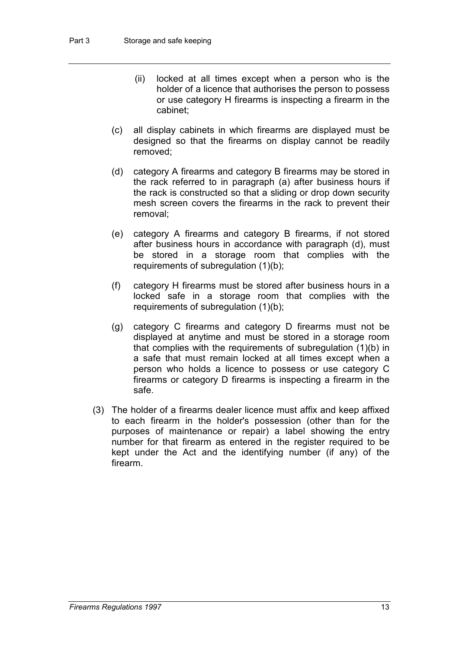- (ii) locked at all times except when a person who is the holder of a licence that authorises the person to possess or use category H firearms is inspecting a firearm in the cabinet;
- (c) all display cabinets in which firearms are displayed must be designed so that the firearms on display cannot be readily removed;
- (d) category A firearms and category B firearms may be stored in the rack referred to in paragraph (a) after business hours if the rack is constructed so that a sliding or drop down security mesh screen covers the firearms in the rack to prevent their removal;
- (e) category A firearms and category B firearms, if not stored after business hours in accordance with paragraph (d), must be stored in a storage room that complies with the requirements of subregulation (1)(b);
- (f) category H firearms must be stored after business hours in a locked safe in a storage room that complies with the requirements of subregulation (1)(b);
- (g) category C firearms and category D firearms must not be displayed at anytime and must be stored in a storage room that complies with the requirements of subregulation (1)(b) in a safe that must remain locked at all times except when a person who holds a licence to possess or use category C firearms or category D firearms is inspecting a firearm in the safe.
- (3) The holder of a firearms dealer licence must affix and keep affixed to each firearm in the holder's possession (other than for the purposes of maintenance or repair) a label showing the entry number for that firearm as entered in the register required to be kept under the Act and the identifying number (if any) of the firearm.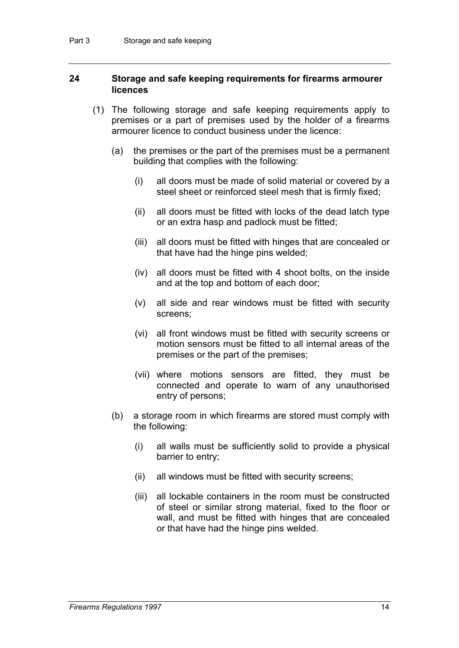#### **24 Storage and safe keeping requirements for firearms armourer licences**

- (1) The following storage and safe keeping requirements apply to premises or a part of premises used by the holder of a firearms armourer licence to conduct business under the licence:
	- (a) the premises or the part of the premises must be a permanent building that complies with the following:
		- (i) all doors must be made of solid material or covered by a steel sheet or reinforced steel mesh that is firmly fixed;
		- (ii) all doors must be fitted with locks of the dead latch type or an extra hasp and padlock must be fitted;
		- (iii) all doors must be fitted with hinges that are concealed or that have had the hinge pins welded;
		- (iv) all doors must be fitted with 4 shoot bolts, on the inside and at the top and bottom of each door;
		- (v) all side and rear windows must be fitted with security screens;
		- (vi) all front windows must be fitted with security screens or motion sensors must be fitted to all internal areas of the premises or the part of the premises;
		- (vii) where motions sensors are fitted, they must be connected and operate to warn of any unauthorised entry of persons;
	- (b) a storage room in which firearms are stored must comply with the following:
		- (i) all walls must be sufficiently solid to provide a physical barrier to entry;
		- (ii) all windows must be fitted with security screens;
		- (iii) all lockable containers in the room must be constructed of steel or similar strong material, fixed to the floor or wall, and must be fitted with hinges that are concealed or that have had the hinge pins welded.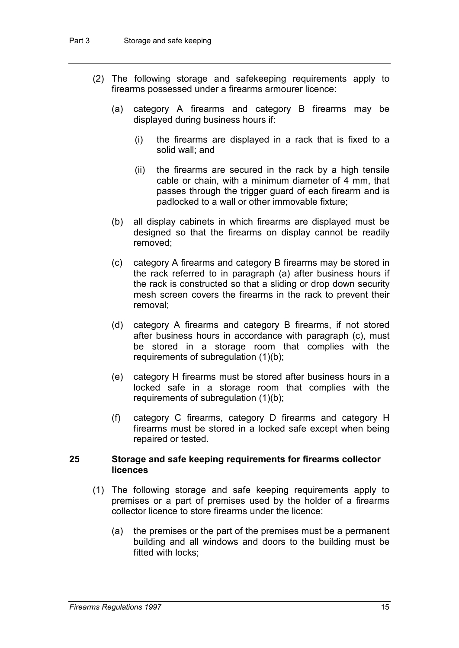- (2) The following storage and safekeeping requirements apply to firearms possessed under a firearms armourer licence:
	- (a) category A firearms and category B firearms may be displayed during business hours if:
		- (i) the firearms are displayed in a rack that is fixed to a solid wall; and
		- (ii) the firearms are secured in the rack by a high tensile cable or chain, with a minimum diameter of 4 mm, that passes through the trigger guard of each firearm and is padlocked to a wall or other immovable fixture;
	- (b) all display cabinets in which firearms are displayed must be designed so that the firearms on display cannot be readily removed;
	- (c) category A firearms and category B firearms may be stored in the rack referred to in paragraph (a) after business hours if the rack is constructed so that a sliding or drop down security mesh screen covers the firearms in the rack to prevent their removal;
	- (d) category A firearms and category B firearms, if not stored after business hours in accordance with paragraph (c), must be stored in a storage room that complies with the requirements of subregulation (1)(b);
	- (e) category H firearms must be stored after business hours in a locked safe in a storage room that complies with the requirements of subregulation (1)(b);
	- (f) category C firearms, category D firearms and category H firearms must be stored in a locked safe except when being repaired or tested.

#### **25 Storage and safe keeping requirements for firearms collector licences**

- (1) The following storage and safe keeping requirements apply to premises or a part of premises used by the holder of a firearms collector licence to store firearms under the licence:
	- (a) the premises or the part of the premises must be a permanent building and all windows and doors to the building must be fitted with locks;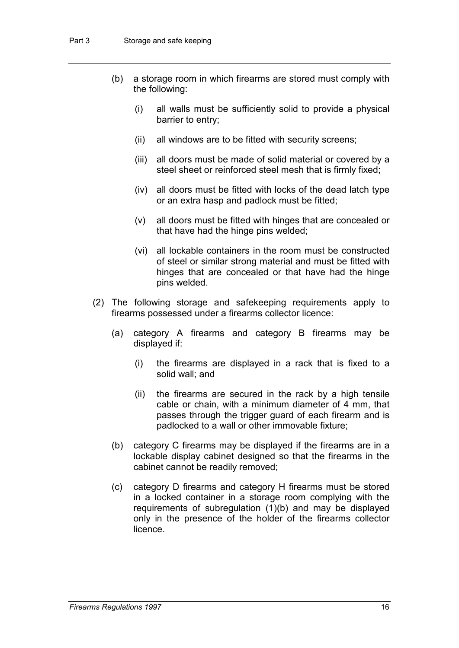- (b) a storage room in which firearms are stored must comply with the following:
	- (i) all walls must be sufficiently solid to provide a physical barrier to entry;
	- (ii) all windows are to be fitted with security screens;
	- (iii) all doors must be made of solid material or covered by a steel sheet or reinforced steel mesh that is firmly fixed;
	- (iv) all doors must be fitted with locks of the dead latch type or an extra hasp and padlock must be fitted;
	- (v) all doors must be fitted with hinges that are concealed or that have had the hinge pins welded;
	- (vi) all lockable containers in the room must be constructed of steel or similar strong material and must be fitted with hinges that are concealed or that have had the hinge pins welded.
- (2) The following storage and safekeeping requirements apply to firearms possessed under a firearms collector licence:
	- (a) category A firearms and category B firearms may be displayed if:
		- (i) the firearms are displayed in a rack that is fixed to a solid wall; and
		- (ii) the firearms are secured in the rack by a high tensile cable or chain, with a minimum diameter of 4 mm, that passes through the trigger guard of each firearm and is padlocked to a wall or other immovable fixture;
	- (b) category C firearms may be displayed if the firearms are in a lockable display cabinet designed so that the firearms in the cabinet cannot be readily removed;
	- (c) category D firearms and category H firearms must be stored in a locked container in a storage room complying with the requirements of subregulation (1)(b) and may be displayed only in the presence of the holder of the firearms collector licence.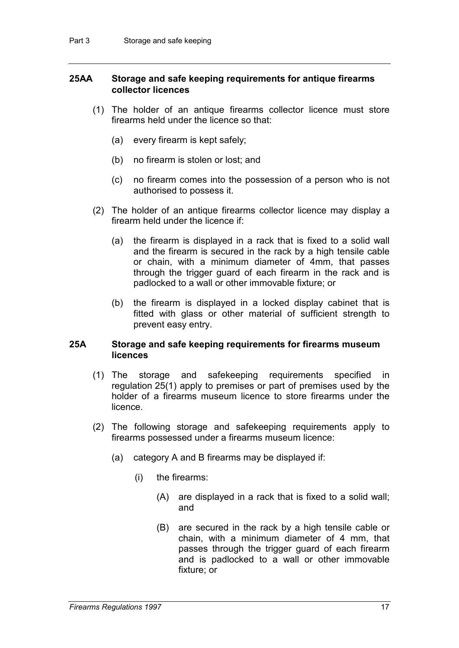#### **25AA Storage and safe keeping requirements for antique firearms collector licences**

- (1) The holder of an antique firearms collector licence must store firearms held under the licence so that:
	- (a) every firearm is kept safely;
	- (b) no firearm is stolen or lost; and
	- (c) no firearm comes into the possession of a person who is not authorised to possess it.
- (2) The holder of an antique firearms collector licence may display a firearm held under the licence if:
	- (a) the firearm is displayed in a rack that is fixed to a solid wall and the firearm is secured in the rack by a high tensile cable or chain, with a minimum diameter of 4mm, that passes through the trigger guard of each firearm in the rack and is padlocked to a wall or other immovable fixture; or
	- (b) the firearm is displayed in a locked display cabinet that is fitted with glass or other material of sufficient strength to prevent easy entry.

#### **25A Storage and safe keeping requirements for firearms museum licences**

- (1) The storage and safekeeping requirements specified in regulation 25(1) apply to premises or part of premises used by the holder of a firearms museum licence to store firearms under the licence.
- (2) The following storage and safekeeping requirements apply to firearms possessed under a firearms museum licence:
	- (a) category A and B firearms may be displayed if:
		- (i) the firearms:
			- (A) are displayed in a rack that is fixed to a solid wall; and
			- (B) are secured in the rack by a high tensile cable or chain, with a minimum diameter of 4 mm, that passes through the trigger guard of each firearm and is padlocked to a wall or other immovable fixture; or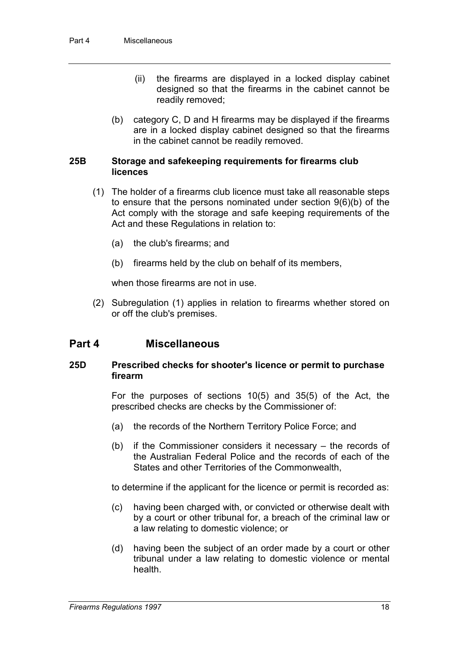- (ii) the firearms are displayed in a locked display cabinet designed so that the firearms in the cabinet cannot be readily removed;
- (b) category C, D and H firearms may be displayed if the firearms are in a locked display cabinet designed so that the firearms in the cabinet cannot be readily removed.

#### **25B Storage and safekeeping requirements for firearms club licences**

- (1) The holder of a firearms club licence must take all reasonable steps to ensure that the persons nominated under section 9(6)(b) of the Act comply with the storage and safe keeping requirements of the Act and these Regulations in relation to:
	- (a) the club's firearms; and
	- (b) firearms held by the club on behalf of its members,

when those firearms are not in use.

(2) Subregulation (1) applies in relation to firearms whether stored on or off the club's premises.

#### **Part 4 Miscellaneous**

#### **25D Prescribed checks for shooter's licence or permit to purchase firearm**

For the purposes of sections 10(5) and 35(5) of the Act, the prescribed checks are checks by the Commissioner of:

- (a) the records of the Northern Territory Police Force; and
- (b) if the Commissioner considers it necessary the records of the Australian Federal Police and the records of each of the States and other Territories of the Commonwealth,

to determine if the applicant for the licence or permit is recorded as:

- (c) having been charged with, or convicted or otherwise dealt with by a court or other tribunal for, a breach of the criminal law or a law relating to domestic violence; or
- (d) having been the subject of an order made by a court or other tribunal under a law relating to domestic violence or mental health.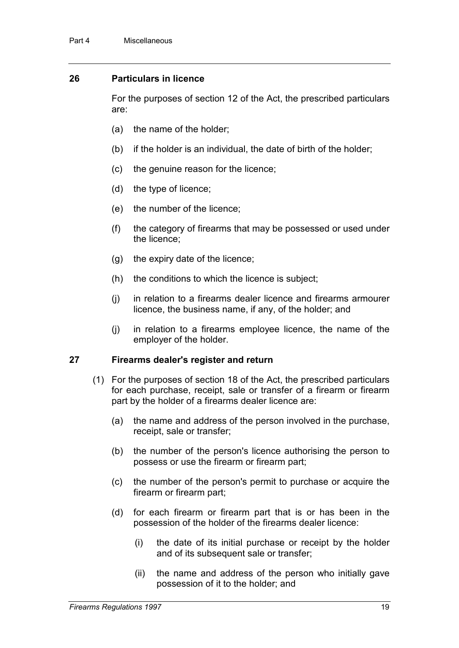#### **26 Particulars in licence**

For the purposes of section 12 of the Act, the prescribed particulars are:

- (a) the name of the holder;
- (b) if the holder is an individual, the date of birth of the holder;
- (c) the genuine reason for the licence;
- (d) the type of licence;
- (e) the number of the licence;
- (f) the category of firearms that may be possessed or used under the licence;
- (g) the expiry date of the licence;
- (h) the conditions to which the licence is subject;
- (j) in relation to a firearms dealer licence and firearms armourer licence, the business name, if any, of the holder; and
- (j) in relation to a firearms employee licence, the name of the employer of the holder.

#### **27 Firearms dealer's register and return**

- (1) For the purposes of section 18 of the Act, the prescribed particulars for each purchase, receipt, sale or transfer of a firearm or firearm part by the holder of a firearms dealer licence are:
	- (a) the name and address of the person involved in the purchase, receipt, sale or transfer;
	- (b) the number of the person's licence authorising the person to possess or use the firearm or firearm part;
	- (c) the number of the person's permit to purchase or acquire the firearm or firearm part;
	- (d) for each firearm or firearm part that is or has been in the possession of the holder of the firearms dealer licence:
		- (i) the date of its initial purchase or receipt by the holder and of its subsequent sale or transfer;
		- (ii) the name and address of the person who initially gave possession of it to the holder; and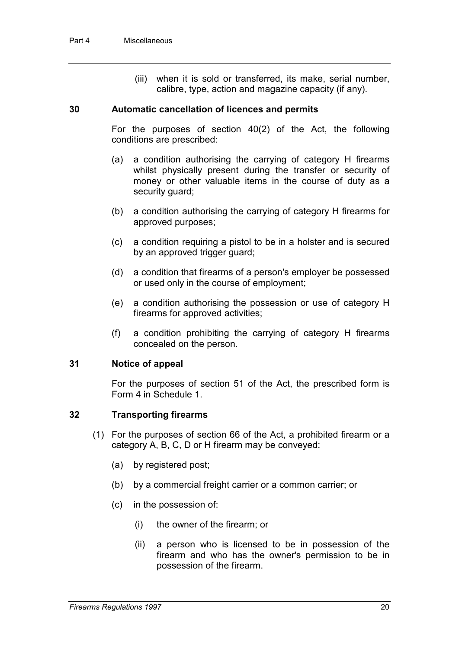(iii) when it is sold or transferred, its make, serial number, calibre, type, action and magazine capacity (if any).

#### **30 Automatic cancellation of licences and permits**

For the purposes of section 40(2) of the Act, the following conditions are prescribed:

- (a) a condition authorising the carrying of category H firearms whilst physically present during the transfer or security of money or other valuable items in the course of duty as a security guard;
- (b) a condition authorising the carrying of category H firearms for approved purposes;
- (c) a condition requiring a pistol to be in a holster and is secured by an approved trigger guard;
- (d) a condition that firearms of a person's employer be possessed or used only in the course of employment;
- (e) a condition authorising the possession or use of category H firearms for approved activities;
- (f) a condition prohibiting the carrying of category H firearms concealed on the person.

#### **31 Notice of appeal**

For the purposes of section 51 of the Act, the prescribed form is Form 4 in Schedule 1.

#### **32 Transporting firearms**

- (1) For the purposes of section 66 of the Act, a prohibited firearm or a category A, B, C, D or H firearm may be conveyed:
	- (a) by registered post;
	- (b) by a commercial freight carrier or a common carrier; or
	- (c) in the possession of:
		- (i) the owner of the firearm; or
		- (ii) a person who is licensed to be in possession of the firearm and who has the owner's permission to be in possession of the firearm.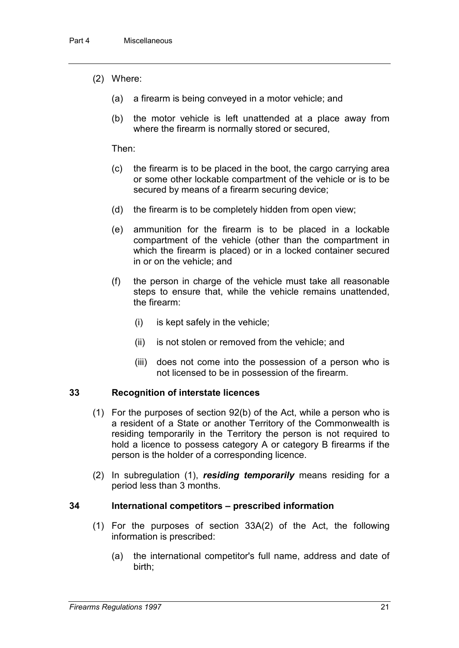- (2) Where:
	- (a) a firearm is being conveyed in a motor vehicle; and
	- (b) the motor vehicle is left unattended at a place away from where the firearm is normally stored or secured,

Then:

- (c) the firearm is to be placed in the boot, the cargo carrying area or some other lockable compartment of the vehicle or is to be secured by means of a firearm securing device;
- (d) the firearm is to be completely hidden from open view;
- (e) ammunition for the firearm is to be placed in a lockable compartment of the vehicle (other than the compartment in which the firearm is placed) or in a locked container secured in or on the vehicle; and
- (f) the person in charge of the vehicle must take all reasonable steps to ensure that, while the vehicle remains unattended, the firearm:
	- (i) is kept safely in the vehicle;
	- (ii) is not stolen or removed from the vehicle; and
	- (iii) does not come into the possession of a person who is not licensed to be in possession of the firearm.

#### **33 Recognition of interstate licences**

- (1) For the purposes of section 92(b) of the Act, while a person who is a resident of a State or another Territory of the Commonwealth is residing temporarily in the Territory the person is not required to hold a licence to possess category A or category B firearms if the person is the holder of a corresponding licence.
- (2) In subregulation (1), *residing temporarily* means residing for a period less than 3 months.

#### **34 International competitors – prescribed information**

- (1) For the purposes of section 33A(2) of the Act, the following information is prescribed:
	- (a) the international competitor's full name, address and date of birth;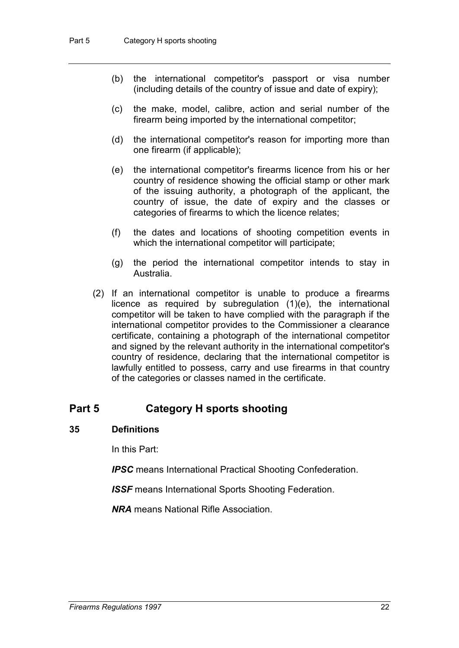- (b) the international competitor's passport or visa number (including details of the country of issue and date of expiry);
- (c) the make, model, calibre, action and serial number of the firearm being imported by the international competitor;
- (d) the international competitor's reason for importing more than one firearm (if applicable);
- (e) the international competitor's firearms licence from his or her country of residence showing the official stamp or other mark of the issuing authority, a photograph of the applicant, the country of issue, the date of expiry and the classes or categories of firearms to which the licence relates;
- (f) the dates and locations of shooting competition events in which the international competitor will participate;
- (g) the period the international competitor intends to stay in Australia.
- (2) If an international competitor is unable to produce a firearms licence as required by subregulation (1)(e), the international competitor will be taken to have complied with the paragraph if the international competitor provides to the Commissioner a clearance certificate, containing a photograph of the international competitor and signed by the relevant authority in the international competitor's country of residence, declaring that the international competitor is lawfully entitled to possess, carry and use firearms in that country of the categories or classes named in the certificate.

### **Part 5 Category H sports shooting**

#### **35 Definitions**

In this Part:

*IPSC* means International Practical Shooting Confederation.

*ISSF* means International Sports Shooting Federation.

*NRA* means National Rifle Association.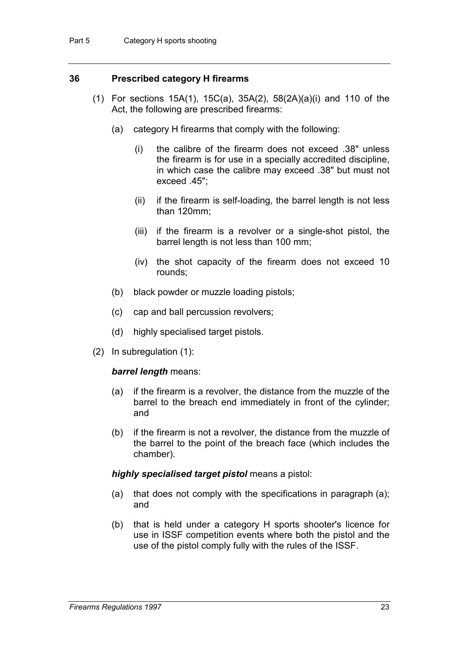#### **36 Prescribed category H firearms**

- (1) For sections 15A(1), 15C(a), 35A(2), 58(2A)(a)(i) and 110 of the Act, the following are prescribed firearms:
	- (a) category H firearms that comply with the following:
		- (i) the calibre of the firearm does not exceed .38" unless the firearm is for use in a specially accredited discipline, in which case the calibre may exceed .38" but must not exceed .45";
		- (ii) if the firearm is self-loading, the barrel length is not less than 120mm;
		- (iii) if the firearm is a revolver or a single-shot pistol, the barrel length is not less than 100 mm;
		- (iv) the shot capacity of the firearm does not exceed 10 rounds;
	- (b) black powder or muzzle loading pistols;
	- (c) cap and ball percussion revolvers;
	- (d) highly specialised target pistols.
- (2) In subregulation (1):

#### *barrel length* means:

- (a) if the firearm is a revolver, the distance from the muzzle of the barrel to the breach end immediately in front of the cylinder; and
- (b) if the firearm is not a revolver, the distance from the muzzle of the barrel to the point of the breach face (which includes the chamber).

#### *highly specialised target pistol* means a pistol:

- (a) that does not comply with the specifications in paragraph (a); and
- (b) that is held under a category H sports shooter's licence for use in ISSF competition events where both the pistol and the use of the pistol comply fully with the rules of the ISSF.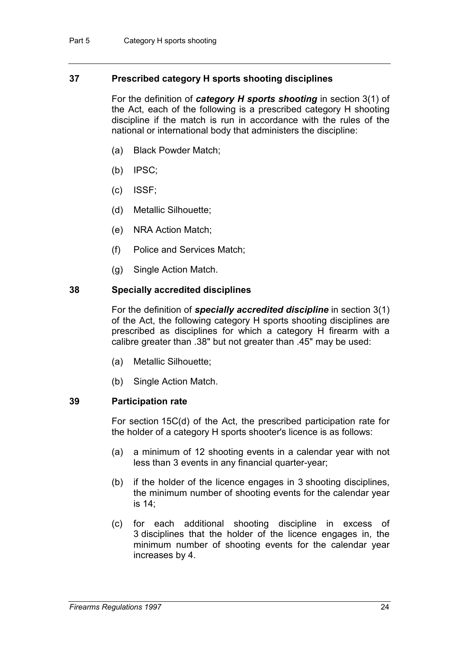#### **37 Prescribed category H sports shooting disciplines**

For the definition of *category H sports shooting* in section 3(1) of the Act, each of the following is a prescribed category H shooting discipline if the match is run in accordance with the rules of the national or international body that administers the discipline:

- (a) Black Powder Match;
- (b) IPSC;
- (c) ISSF;
- (d) Metallic Silhouette;
- (e) NRA Action Match;
- (f) Police and Services Match;
- (g) Single Action Match.

#### **38 Specially accredited disciplines**

For the definition of *specially accredited discipline* in section 3(1) of the Act, the following category H sports shooting disciplines are prescribed as disciplines for which a category H firearm with a calibre greater than .38" but not greater than .45" may be used:

- (a) Metallic Silhouette;
- (b) Single Action Match.

#### **39 Participation rate**

For section 15C(d) of the Act, the prescribed participation rate for the holder of a category H sports shooter's licence is as follows:

- (a) a minimum of 12 shooting events in a calendar year with not less than 3 events in any financial quarter-year;
- (b) if the holder of the licence engages in 3 shooting disciplines, the minimum number of shooting events for the calendar year is 14;
- (c) for each additional shooting discipline in excess of 3 disciplines that the holder of the licence engages in, the minimum number of shooting events for the calendar year increases by 4.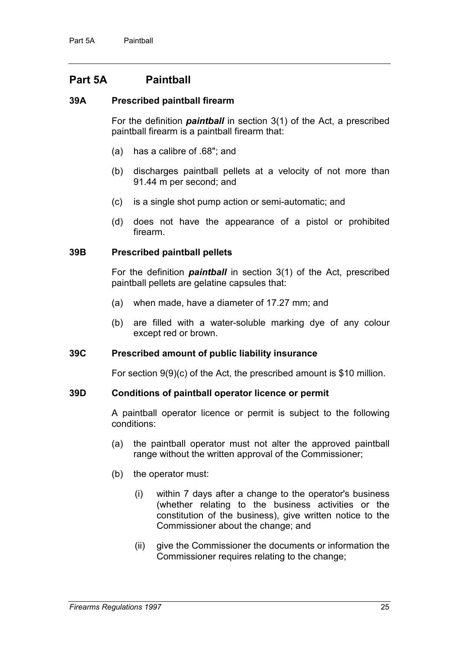### **Part 5A Paintball**

#### **39A Prescribed paintball firearm**

For the definition *paintball* in section 3(1) of the Act, a prescribed paintball firearm is a paintball firearm that:

- (a) has a calibre of .68"; and
- (b) discharges paintball pellets at a velocity of not more than 91.44 m per second; and
- (c) is a single shot pump action or semi-automatic; and
- (d) does not have the appearance of a pistol or prohibited firearm.

#### **39B Prescribed paintball pellets**

For the definition *paintball* in section 3(1) of the Act, prescribed paintball pellets are gelatine capsules that:

- (a) when made, have a diameter of 17.27 mm; and
- (b) are filled with a water-soluble marking dye of any colour except red or brown.

#### **39C Prescribed amount of public liability insurance**

For section 9(9)(c) of the Act, the prescribed amount is \$10 million.

#### **39D Conditions of paintball operator licence or permit**

A paintball operator licence or permit is subject to the following conditions:

- (a) the paintball operator must not alter the approved paintball range without the written approval of the Commissioner;
- (b) the operator must:
	- (i) within 7 days after a change to the operator's business (whether relating to the business activities or the constitution of the business), give written notice to the Commissioner about the change; and
	- (ii) give the Commissioner the documents or information the Commissioner requires relating to the change;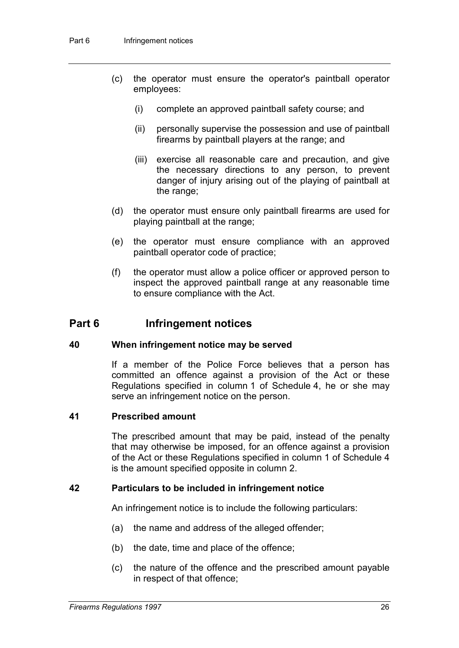- (c) the operator must ensure the operator's paintball operator employees:
	- (i) complete an approved paintball safety course; and
	- (ii) personally supervise the possession and use of paintball firearms by paintball players at the range; and
	- (iii) exercise all reasonable care and precaution, and give the necessary directions to any person, to prevent danger of injury arising out of the playing of paintball at the range;
- (d) the operator must ensure only paintball firearms are used for playing paintball at the range;
- (e) the operator must ensure compliance with an approved paintball operator code of practice;
- (f) the operator must allow a police officer or approved person to inspect the approved paintball range at any reasonable time to ensure compliance with the Act.

### **Part 6 Infringement notices**

#### **40 When infringement notice may be served**

If a member of the Police Force believes that a person has committed an offence against a provision of the Act or these Regulations specified in column 1 of Schedule 4, he or she may serve an infringement notice on the person.

#### **41 Prescribed amount**

The prescribed amount that may be paid, instead of the penalty that may otherwise be imposed, for an offence against a provision of the Act or these Regulations specified in column 1 of Schedule 4 is the amount specified opposite in column 2.

#### **42 Particulars to be included in infringement notice**

An infringement notice is to include the following particulars:

- (a) the name and address of the alleged offender;
- (b) the date, time and place of the offence;
- (c) the nature of the offence and the prescribed amount payable in respect of that offence;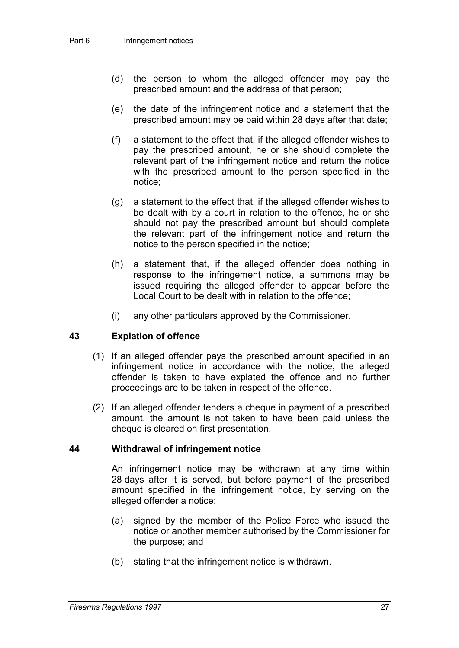- (d) the person to whom the alleged offender may pay the prescribed amount and the address of that person;
- (e) the date of the infringement notice and a statement that the prescribed amount may be paid within 28 days after that date;
- (f) a statement to the effect that, if the alleged offender wishes to pay the prescribed amount, he or she should complete the relevant part of the infringement notice and return the notice with the prescribed amount to the person specified in the notice;
- (g) a statement to the effect that, if the alleged offender wishes to be dealt with by a court in relation to the offence, he or she should not pay the prescribed amount but should complete the relevant part of the infringement notice and return the notice to the person specified in the notice;
- (h) a statement that, if the alleged offender does nothing in response to the infringement notice, a summons may be issued requiring the alleged offender to appear before the Local Court to be dealt with in relation to the offence;
- (i) any other particulars approved by the Commissioner.

#### **43 Expiation of offence**

- (1) If an alleged offender pays the prescribed amount specified in an infringement notice in accordance with the notice, the alleged offender is taken to have expiated the offence and no further proceedings are to be taken in respect of the offence.
- (2) If an alleged offender tenders a cheque in payment of a prescribed amount, the amount is not taken to have been paid unless the cheque is cleared on first presentation.

#### **44 Withdrawal of infringement notice**

An infringement notice may be withdrawn at any time within 28 days after it is served, but before payment of the prescribed amount specified in the infringement notice, by serving on the alleged offender a notice:

- (a) signed by the member of the Police Force who issued the notice or another member authorised by the Commissioner for the purpose; and
- (b) stating that the infringement notice is withdrawn.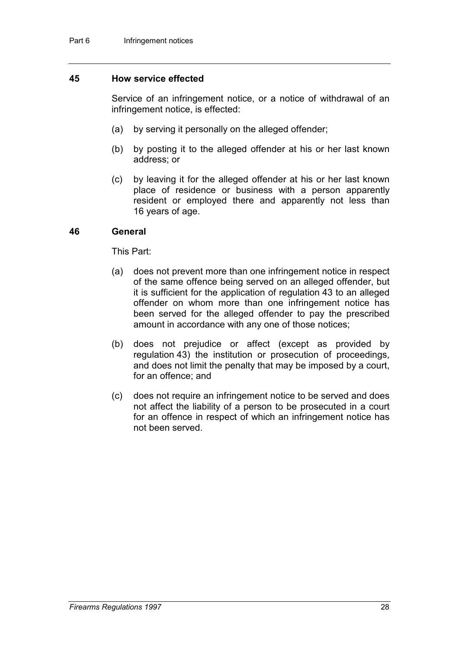#### **45 How service effected**

Service of an infringement notice, or a notice of withdrawal of an infringement notice, is effected:

- (a) by serving it personally on the alleged offender;
- (b) by posting it to the alleged offender at his or her last known address; or
- (c) by leaving it for the alleged offender at his or her last known place of residence or business with a person apparently resident or employed there and apparently not less than 16 years of age.

#### **46 General**

This Part:

- (a) does not prevent more than one infringement notice in respect of the same offence being served on an alleged offender, but it is sufficient for the application of regulation 43 to an alleged offender on whom more than one infringement notice has been served for the alleged offender to pay the prescribed amount in accordance with any one of those notices;
- (b) does not prejudice or affect (except as provided by regulation 43) the institution or prosecution of proceedings, and does not limit the penalty that may be imposed by a court, for an offence; and
- (c) does not require an infringement notice to be served and does not affect the liability of a person to be prosecuted in a court for an offence in respect of which an infringement notice has not been served.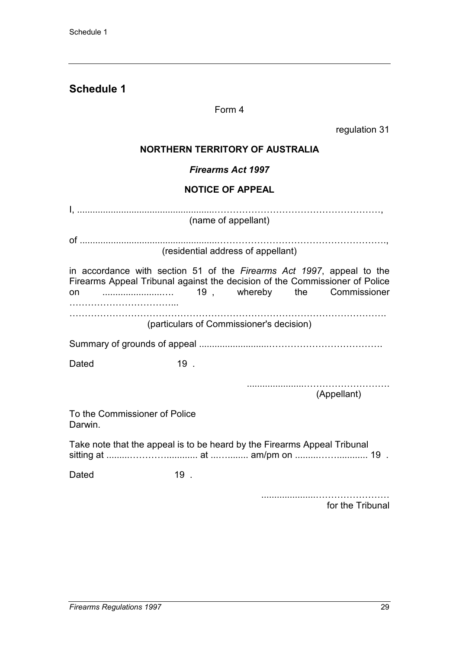### **Schedule 1**

#### Form 4

regulation 31

### **NORTHERN TERRITORY OF AUSTRALIA**

*Firearms Act 1997*

#### **NOTICE OF APPEAL**

|                                                                                                                                                      | (name of appellant)                      |  |  |             |  |
|------------------------------------------------------------------------------------------------------------------------------------------------------|------------------------------------------|--|--|-------------|--|
|                                                                                                                                                      | (residential address of appellant)       |  |  |             |  |
| in accordance with section 51 of the Firearms Act 1997, appeal to the<br>Firearms Appeal Tribunal against the decision of the Commissioner of Police |                                          |  |  |             |  |
|                                                                                                                                                      | (particulars of Commissioner's decision) |  |  |             |  |
|                                                                                                                                                      |                                          |  |  |             |  |
| Dated                                                                                                                                                | $19$ .                                   |  |  |             |  |
|                                                                                                                                                      |                                          |  |  | (Appellant) |  |
| To the Commissioner of Police<br>Darwin.                                                                                                             |                                          |  |  |             |  |
| Take note that the appeal is to be heard by the Firearms Appeal Tribunal                                                                             |                                          |  |  |             |  |
| Dated                                                                                                                                                | $19$ .                                   |  |  |             |  |

.....................…………………… for the Tribunal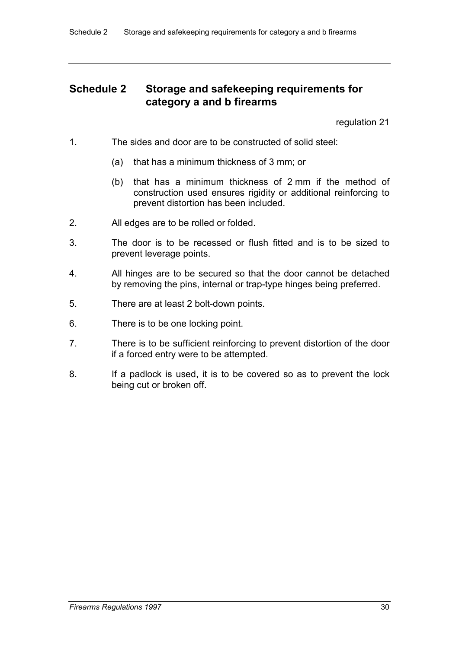### **Schedule 2 Storage and safekeeping requirements for category a and b firearms**

regulation 21

- 1. The sides and door are to be constructed of solid steel:
	- (a) that has a minimum thickness of 3 mm; or
	- (b) that has a minimum thickness of 2 mm if the method of construction used ensures rigidity or additional reinforcing to prevent distortion has been included.
- 2. All edges are to be rolled or folded.
- 3. The door is to be recessed or flush fitted and is to be sized to prevent leverage points.
- 4. All hinges are to be secured so that the door cannot be detached by removing the pins, internal or trap-type hinges being preferred.
- 5. There are at least 2 bolt-down points.
- 6. There is to be one locking point.
- 7. There is to be sufficient reinforcing to prevent distortion of the door if a forced entry were to be attempted.
- 8. If a padlock is used, it is to be covered so as to prevent the lock being cut or broken off.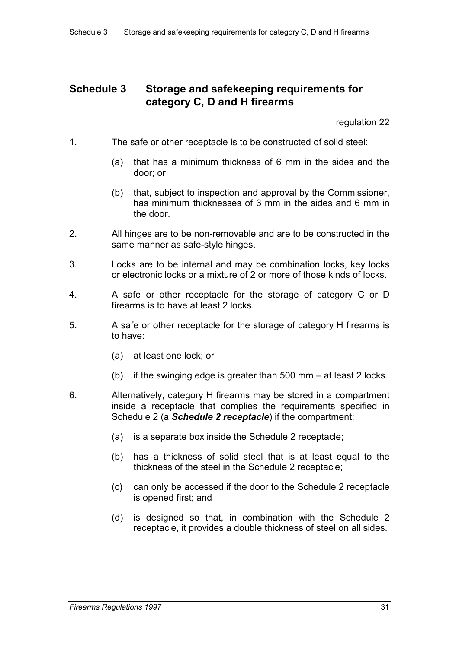### **Schedule 3 Storage and safekeeping requirements for category C, D and H firearms**

regulation 22

- 1. The safe or other receptacle is to be constructed of solid steel:
	- (a) that has a minimum thickness of 6 mm in the sides and the door; or
	- (b) that, subject to inspection and approval by the Commissioner, has minimum thicknesses of 3 mm in the sides and 6 mm in the door.
- 2. All hinges are to be non-removable and are to be constructed in the same manner as safe-style hinges.
- 3. Locks are to be internal and may be combination locks, key locks or electronic locks or a mixture of 2 or more of those kinds of locks.
- 4. A safe or other receptacle for the storage of category C or D firearms is to have at least 2 locks.
- 5. A safe or other receptacle for the storage of category H firearms is to have:
	- (a) at least one lock; or
	- (b) if the swinging edge is greater than 500 mm at least 2 locks.
- 6. Alternatively, category H firearms may be stored in a compartment inside a receptacle that complies the requirements specified in Schedule 2 (a *Schedule 2 receptacle*) if the compartment:
	- (a) is a separate box inside the Schedule 2 receptacle;
	- (b) has a thickness of solid steel that is at least equal to the thickness of the steel in the Schedule 2 receptacle;
	- (c) can only be accessed if the door to the Schedule 2 receptacle is opened first; and
	- (d) is designed so that, in combination with the Schedule 2 receptacle, it provides a double thickness of steel on all sides.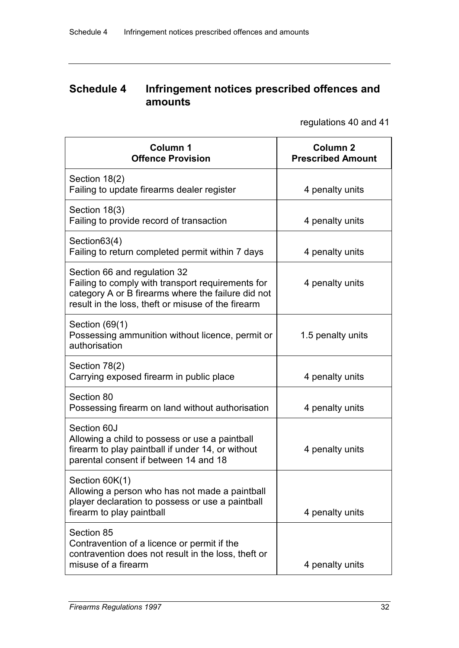### **Schedule 4 Infringement notices prescribed offences and amounts**

regulations 40 and 41

| Column 1<br><b>Offence Provision</b>                                                                                                                                                          | Column <sub>2</sub><br><b>Prescribed Amount</b> |
|-----------------------------------------------------------------------------------------------------------------------------------------------------------------------------------------------|-------------------------------------------------|
| Section 18(2)<br>Failing to update firearms dealer register                                                                                                                                   | 4 penalty units                                 |
| Section 18(3)<br>Failing to provide record of transaction                                                                                                                                     | 4 penalty units                                 |
| Section 63(4)<br>Failing to return completed permit within 7 days                                                                                                                             | 4 penalty units                                 |
| Section 66 and regulation 32<br>Failing to comply with transport requirements for<br>category A or B firearms where the failure did not<br>result in the loss, theft or misuse of the firearm | 4 penalty units                                 |
| Section $(69(1))$<br>Possessing ammunition without licence, permit or<br>authorisation                                                                                                        | 1.5 penalty units                               |
| Section 78(2)<br>Carrying exposed firearm in public place                                                                                                                                     | 4 penalty units                                 |
| Section 80<br>Possessing firearm on land without authorisation                                                                                                                                | 4 penalty units                                 |
| Section 60J<br>Allowing a child to possess or use a paintball<br>firearm to play paintball if under 14, or without<br>parental consent if between 14 and 18                                   | 4 penalty units                                 |
| Section 60K(1)<br>Allowing a person who has not made a paintball<br>player declaration to possess or use a paintball<br>firearm to play paintball                                             | 4 penalty units                                 |
| Section 85<br>Contravention of a licence or permit if the<br>contravention does not result in the loss, theft or<br>misuse of a firearm                                                       | 4 penalty units                                 |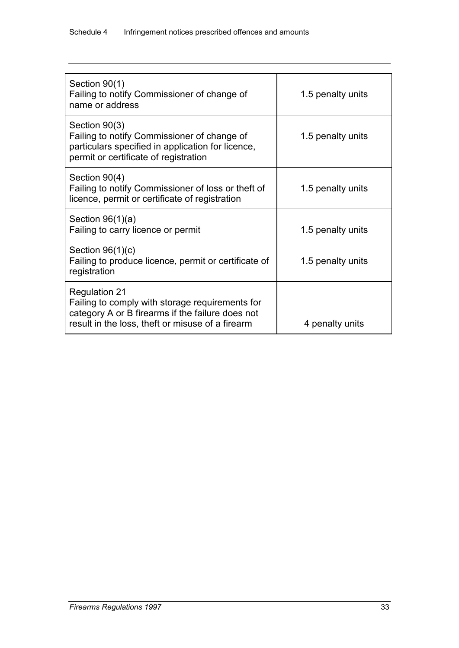| Section 90(1)<br>Failing to notify Commissioner of change of<br>name or address                                                                                                 | 1.5 penalty units |
|---------------------------------------------------------------------------------------------------------------------------------------------------------------------------------|-------------------|
| Section 90(3)<br>Failing to notify Commissioner of change of<br>particulars specified in application for licence,<br>permit or certificate of registration                      | 1.5 penalty units |
| Section 90(4)<br>Failing to notify Commissioner of loss or theft of<br>licence, permit or certificate of registration                                                           | 1.5 penalty units |
| Section $96(1)(a)$<br>Failing to carry licence or permit                                                                                                                        | 1.5 penalty units |
| Section $96(1)(c)$<br>Failing to produce licence, permit or certificate of<br>registration                                                                                      | 1.5 penalty units |
| <b>Regulation 21</b><br>Failing to comply with storage requirements for<br>category A or B firearms if the failure does not<br>result in the loss, theft or misuse of a firearm | 4 penalty units   |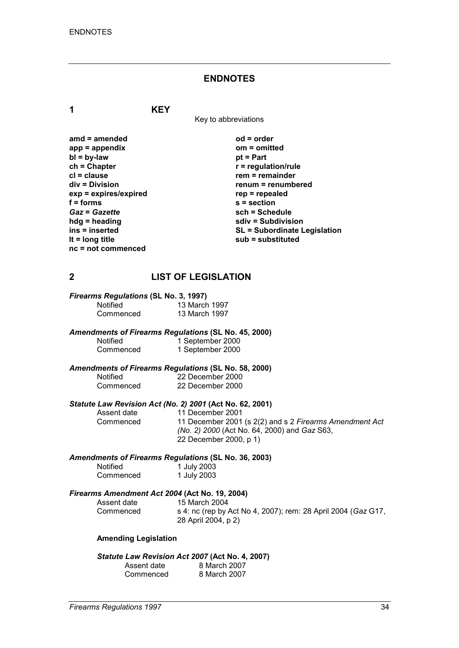#### **ENDNOTES**

**1 KEY**

Key to abbreviations

| $amd = amended$         | $od = order$                        |
|-------------------------|-------------------------------------|
| $app = appendix$        | $om = omitted$                      |
| $bl = by-law$           | $pt = Part$                         |
| $ch = Chapter$          | $r =$ regulation/rule               |
| $cl = clause$           | $rem = remainder$                   |
| div = Division          | renum = renumbered                  |
| $exp = expires/expired$ | $rep = repeated$                    |
| $f =$ forms             | $s = section$                       |
| <b>Gaz = Gazette</b>    | sch = Schedule                      |
| $hdg =$ heading         | sdiv = Subdivision                  |
| ins = inserted          | <b>SL = Subordinate Legislation</b> |
| It = $long$ title       | sub = substituted                   |
| $nc = not$ commenced    |                                     |

#### **2 LIST OF LEGISLATION**

| Firearms Regulations (SL No. 3, 1997) |               |  |
|---------------------------------------|---------------|--|
| <b>Notified</b>                       | 13 March 1997 |  |
| Commenced                             | 13 March 1997 |  |

*Amendments of Firearms Regulations* **(SL No. 45, 2000)**

| Notified  | 1 September 2000 |
|-----------|------------------|
| Commenced | 1 September 2000 |

# *Amendments of Firearms Regulations* **(SL No. 58, 2000)**

Notified 22 December 2000<br>Commenced 22 December 2000 22 December 2000

# *Statute Law Revision Act (No. 2) 2001* **(Act No. 62, 2001)**

Assent date 11 December 2001<br>Commenced 11 December 2001

11 December 2001 (s 2(2) and s 2 *Firearms Amendment Act (No. 2) 2000* (Act No. 64, 2000) and *Gaz* S63, 22 December 2000, p 1)

#### *Amendments of Firearms Regulations* **(SL No. 36, 2003)**

| <b>Notified</b> | 1 July 2003 |
|-----------------|-------------|
| Commenced       | 1 July 2003 |

# *Firearms Amendment Act 2004* **(Act No. 19, 2004)**

Assent date 15 March 2004<br>Commenced s 4: nc (rep by / s 4: nc (rep by Act No 4, 2007); rem: 28 April 2004 (*Gaz* G17, 28 April 2004, p 2)

#### **Amending Legislation**

#### *Statute Law Revision Act 2007* **(Act No. 4, 2007)**

| Assent date | 8 March 2007 |
|-------------|--------------|
| Commenced   | 8 March 2007 |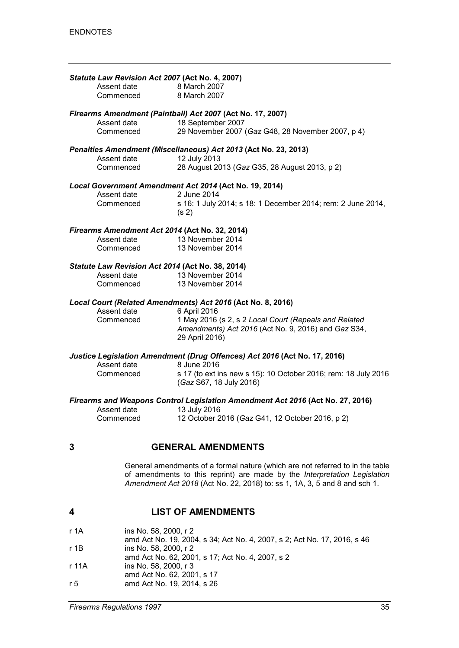|   | Statute Law Revision Act 2007 (Act No. 4, 2007)<br>Assent date<br>Commenced  | 8 March 2007<br>8 March 2007                                                                                                                                                                                                            |
|---|------------------------------------------------------------------------------|-----------------------------------------------------------------------------------------------------------------------------------------------------------------------------------------------------------------------------------------|
|   | Assent date<br>Commenced                                                     | Firearms Amendment (Paintball) Act 2007 (Act No. 17, 2007)<br>18 September 2007<br>29 November 2007 (Gaz G48, 28 November 2007, p 4)                                                                                                    |
|   | Assent date<br>Commenced                                                     | Penalties Amendment (Miscellaneous) Act 2013 (Act No. 23, 2013)<br>12 July 2013<br>28 August 2013 (Gaz G35, 28 August 2013, p 2)                                                                                                        |
|   | Assent date<br>Commenced                                                     | Local Government Amendment Act 2014 (Act No. 19, 2014)<br>2 June 2014<br>s 16: 1 July 2014; s 18: 1 December 2014; rem: 2 June 2014,<br>(s <sub>2</sub> )                                                                               |
|   | Firearms Amendment Act 2014 (Act No. 32, 2014)<br>Assent date<br>Commenced   | 13 November 2014<br>13 November 2014                                                                                                                                                                                                    |
|   | Statute Law Revision Act 2014 (Act No. 38, 2014)<br>Assent date<br>Commenced | 13 November 2014<br>13 November 2014                                                                                                                                                                                                    |
|   | Assent date<br>Commenced                                                     | Local Court (Related Amendments) Act 2016 (Act No. 8, 2016)<br>6 April 2016<br>1 May 2016 (s 2, s 2 Local Court (Repeals and Related<br>Amendments) Act 2016 (Act No. 9, 2016) and Gaz S34,<br>29 April 2016)                           |
|   | Assent date<br>Commenced                                                     | Justice Legislation Amendment (Drug Offences) Act 2016 (Act No. 17, 2016)<br>8 June 2016<br>s 17 (to ext ins new s 15): 10 October 2016; rem: 18 July 2016<br>(Gaz S67, 18 July 2016)                                                   |
|   | Assent date<br>Commenced                                                     | Firearms and Weapons Control Legislation Amendment Act 2016 (Act No. 27, 2016)<br>13 July 2016<br>12 October 2016 (Gaz G41, 12 October 2016, p 2)                                                                                       |
| 3 |                                                                              | <b>GENERAL AMENDMENTS</b>                                                                                                                                                                                                               |
|   |                                                                              | General amendments of a formal nature (which are not referred to in the table<br>of amendments to this reprint) are made by the Interpretation Legislation<br>Amendment Act 2018 (Act No. 22, 2018) to: ss 1, 1A, 3, 5 and 8 and sch 1. |
| 4 |                                                                              | <b>LIST OF AMENDMENTS</b>                                                                                                                                                                                                               |

r 1A ins No. 58, 2000, r 2

- amd Act No. 19, 2004, s 34; Act No. 4, 2007, s 2; Act No. 17, 2016, s 46
- r 1B ins No. 58, 2000, r 2
- amd Act No. 62, 2001, s 17; Act No. 4, 2007, s 2
- r 11A ins No. 58, 2000, r 3
- amd Act No. 62, 2001, s 17
- r 5 amd Act No. 19, 2014, s 26